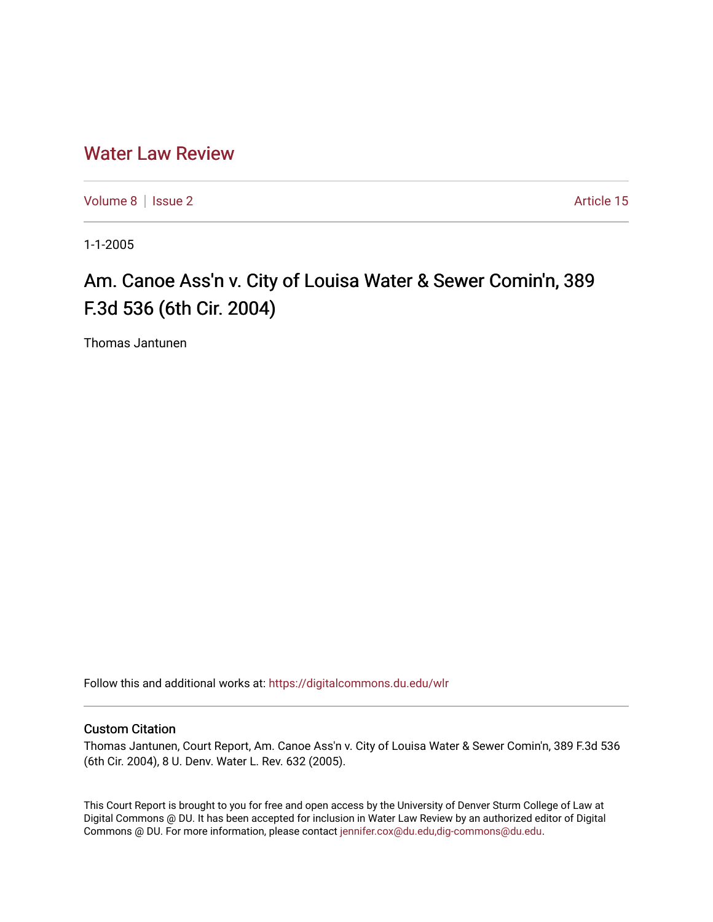# [Water Law Review](https://digitalcommons.du.edu/wlr)

[Volume 8](https://digitalcommons.du.edu/wlr/vol8) | [Issue 2](https://digitalcommons.du.edu/wlr/vol8/iss2) Article 15

1-1-2005

# Am. Canoe Ass'n v. City of Louisa Water & Sewer Comin'n, 389 F.3d 536 (6th Cir. 2004)

Thomas Jantunen

Follow this and additional works at: [https://digitalcommons.du.edu/wlr](https://digitalcommons.du.edu/wlr?utm_source=digitalcommons.du.edu%2Fwlr%2Fvol8%2Fiss2%2F15&utm_medium=PDF&utm_campaign=PDFCoverPages) 

## Custom Citation

Thomas Jantunen, Court Report, Am. Canoe Ass'n v. City of Louisa Water & Sewer Comin'n, 389 F.3d 536 (6th Cir. 2004), 8 U. Denv. Water L. Rev. 632 (2005).

This Court Report is brought to you for free and open access by the University of Denver Sturm College of Law at Digital Commons @ DU. It has been accepted for inclusion in Water Law Review by an authorized editor of Digital Commons @ DU. For more information, please contact [jennifer.cox@du.edu,dig-commons@du.edu.](mailto:jennifer.cox@du.edu,dig-commons@du.edu)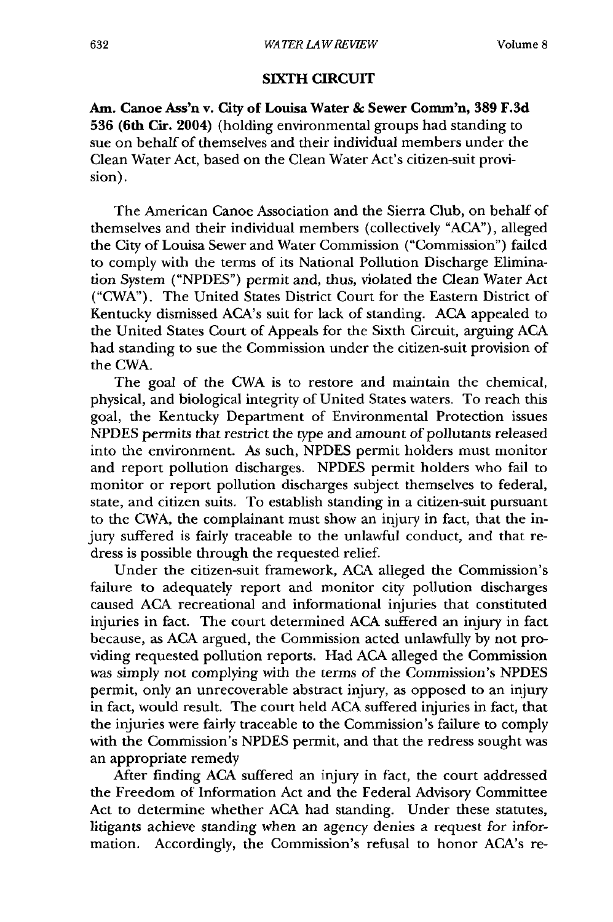#### **SIXTH CIRCUIT**

Am. Canoe Ass'n v. City of Louisa Water & Sewer Comm'n, 389 F.3d **536 (6th** Cir. 2004) (holding environmental groups had standing to sue on behalf of themselves and their individual members under the Clean Water Act, based on the Clean Water Act's citizen-suit provision).

The American Canoe Association and the Sierra Club, on behalf of themselves and their individual members (collectively "ACA"), alleged the City of Louisa Sewer and Water Commission ("Commission") failed to comply with the terms of its National Pollution Discharge Elimination System ("NPDES") permit and, thus, violated the Clean Water Act ("CWA"). The United States District Court for the Eastern District of Kentucky dismissed ACA's suit for lack of standing. ACA appealed to the United States Court of Appeals for the Sixth Circuit, arguing ACA had standing to sue the Commission under the citizen-suit provision of the CWA.

The goal of the CWA is to restore and maintain the chemical, physical, and biological integrity of United States waters. To reach this goal, the Kentucky Department of Environmental Protection issues NPDES permits that restrict the type and amount of pollutants released into the environment. As such, NPDES permit holders must monitor and report pollution discharges. NPDES permit holders who fail to monitor or report pollution discharges subject themselves to federal, state, and citizen suits. To establish standing in a citizen-suit pursuant to the CWA, the complainant must show an injury in fact, that the injury suffered is fairly traceable to the unlawful conduct, and that redress is possible through the requested relief.

Under the citizen-suit framework, ACA alleged the Commission's failure to adequately report and monitor city pollution discharges caused ACA recreational and informational injuries that constituted injuries in fact. The court determined ACA suffered an injury in fact because, as ACA argued, the Commission acted unlawfully by not providing requested pollution reports. Had ACA alleged the Commission was simply not complying with the terms of the Commission's NPDES permit, only an unrecoverable abstract injury, as opposed to an injury in fact, would result. The court held ACA suffered injuries in fact, that the injuries were fairly traceable to the Commission's failure to comply with the Commission's NPDES permit, and that the redress sought was an appropriate remedy

After finding ACA suffered an injury in fact, the court addressed the Freedom of Information Act and the Federal Advisory Committee Act to determine whether ACA had standing. Under these statutes, litigants achieve standing when an agency denies a request for information. Accordingly, the Commission's refusal to honor ACA's re